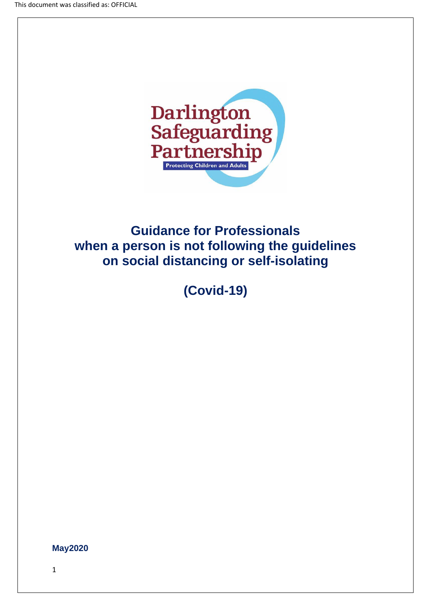

# **Guidance for Professionals when a person is not following the guidelines on social distancing or self-isolating**

**(Covid-19)**

**May2020**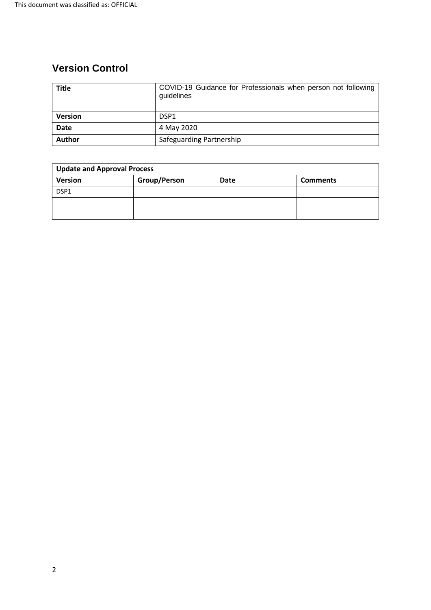## **Version Control**

| <b>Title</b>   | COVID-19 Guidance for Professionals when person not following<br>guidelines |  |
|----------------|-----------------------------------------------------------------------------|--|
| <b>Version</b> | DSP <sub>1</sub>                                                            |  |
| <b>Date</b>    | 4 May 2020                                                                  |  |
| <b>Author</b>  | Safeguarding Partnership                                                    |  |

| <b>Update and Approval Process</b> |              |             |                 |  |
|------------------------------------|--------------|-------------|-----------------|--|
| <b>Version</b>                     | Group/Person | <b>Date</b> | <b>Comments</b> |  |
| DSP1                               |              |             |                 |  |
|                                    |              |             |                 |  |
|                                    |              |             |                 |  |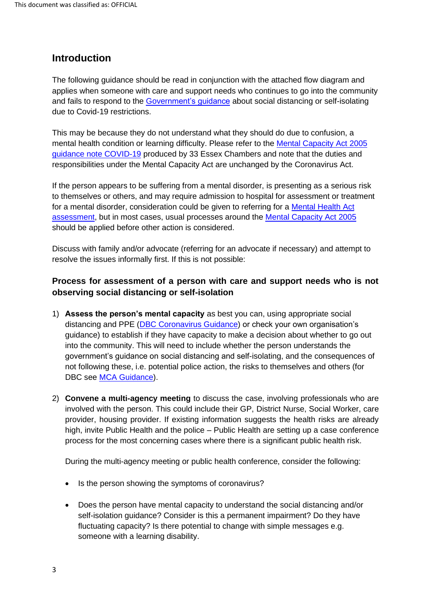### **Introduction**

The following guidance should be read in conjunction with the attached flow diagram and applies when someone with care and support needs who continues to go into the community and fails to respond to the [Government's guidance](https://www.gov.uk/coronavirus) about social distancing or self-isolating due to Covid-19 restrictions.

This may be because they do not understand what they should do due to confusion, a mental health condition or learning difficulty. Please refer to the [Mental Capacity Act 2005](https://www.mentalcapacitylawandpolicy.org.uk/resources-2/covid-19-and-the-mca-2005/)  [guidance note](https://www.mentalcapacitylawandpolicy.org.uk/resources-2/covid-19-and-the-mca-2005/) COVID-19 produced by 33 Essex Chambers and note that the duties and responsibilities under the Mental Capacity Act are unchanged by the Coronavirus Act.

If the person appears to be suffering from a mental disorder, is presenting as a serious risk to themselves or others, and may require admission to hospital for assessment or treatment for a mental disorder, consideration could be given to referring for a [Mental Health Act](https://www.nhs.uk/using-the-nhs/nhs-services/mental-health-services/mental-health-assessments/)  [assessment,](https://www.nhs.uk/using-the-nhs/nhs-services/mental-health-services/mental-health-assessments/) but in most cases, usual processes around the [Mental Capacity Act](https://www.england.nhs.uk/wp-content/uploads/2014/09/guide-for-clinical-commissioning.pdf) 2005 should be applied before other action is considered.

Discuss with family and/or advocate (referring for an advocate if necessary) and attempt to resolve the issues informally first. If this is not possible:

#### **Process for assessment of a person with care and support needs who is not observing social distancing or self-isolation**

- 1) **Assess the person's mental capacity** as best you can, using appropriate social distancing and PPE (DBC [Coronavirus Guidance\)](https://www.darlington.gov.uk/health-and-social-care/public-health/coronavirus/) or check your own organisation's guidance) to establish if they have capacity to make a decision about whether to go out into the community. This will need to include whether the person understands the government's guidance on social distancing and self-isolating, and the consequences of not following these, i.e. potential police action, the risks to themselves and others (for DBC see [MCA Guidance\)](https://www.mentalcapacitylawandpolicy.org.uk/resources-2/covid-19-and-the-mca-2005/).
- 2) **Convene a multi-agency meeting** to discuss the case, involving professionals who are involved with the person. This could include their GP, District Nurse, Social Worker, care provider, housing provider. If existing information suggests the health risks are already high, invite Public Health and the police – Public Health are setting up a case conference process for the most concerning cases where there is a significant public health risk.

During the multi-agency meeting or public health conference, consider the following:

- Is the person showing the symptoms of coronavirus?
- Does the person have mental capacity to understand the social distancing and/or self-isolation guidance? Consider is this a permanent impairment? Do they have fluctuating capacity? Is there potential to change with simple messages e.g. someone with a learning disability.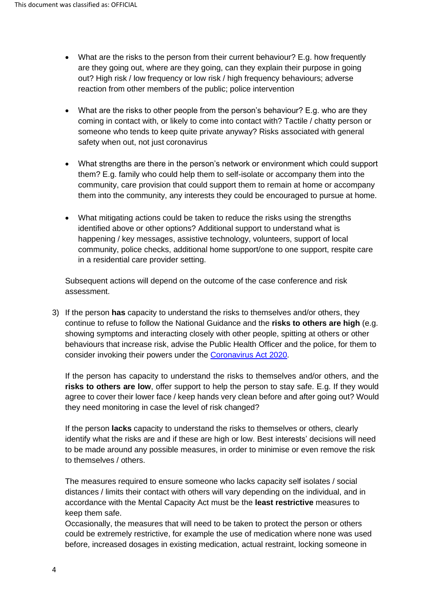- What are the risks to the person from their current behaviour? E.g. how frequently are they going out, where are they going, can they explain their purpose in going out? High risk / low frequency or low risk / high frequency behaviours; adverse reaction from other members of the public; police intervention
- What are the risks to other people from the person's behaviour? E.g. who are they coming in contact with, or likely to come into contact with? Tactile / chatty person or someone who tends to keep quite private anyway? Risks associated with general safety when out, not just coronavirus
- What strengths are there in the person's network or environment which could support them? E.g. family who could help them to self-isolate or accompany them into the community, care provision that could support them to remain at home or accompany them into the community, any interests they could be encouraged to pursue at home.
- What mitigating actions could be taken to reduce the risks using the strengths identified above or other options? Additional support to understand what is happening / key messages, assistive technology, volunteers, support of local community, police checks, additional home support/one to one support, respite care in a residential care provider setting.

Subsequent actions will depend on the outcome of the case conference and risk assessment.

3) If the person **has** capacity to understand the risks to themselves and/or others, they continue to refuse to follow the National Guidance and the **risks to others are high** (e.g. showing symptoms and interacting closely with other people, spitting at others or other behaviours that increase risk, advise the Public Health Officer and the police, for them to consider invoking their powers under the [Coronavirus Act 2020.](https://www.legislation.gov.uk/ukpga/2020/7/schedule/21/part/2/enacted)

If the person has capacity to understand the risks to themselves and/or others, and the **risks to others are low**, offer support to help the person to stay safe. E.g. If they would agree to cover their lower face / keep hands very clean before and after going out? Would they need monitoring in case the level of risk changed?

If the person **lacks** capacity to understand the risks to themselves or others, clearly identify what the risks are and if these are high or low. Best interests' decisions will need to be made around any possible measures, in order to minimise or even remove the risk to themselves / others.

The measures required to ensure someone who lacks capacity self isolates / social distances / limits their contact with others will vary depending on the individual, and in accordance with the Mental Capacity Act must be the **least restrictive** measures to keep them safe.

Occasionally, the measures that will need to be taken to protect the person or others could be extremely restrictive, for example the use of medication where none was used before, increased dosages in existing medication, actual restraint, locking someone in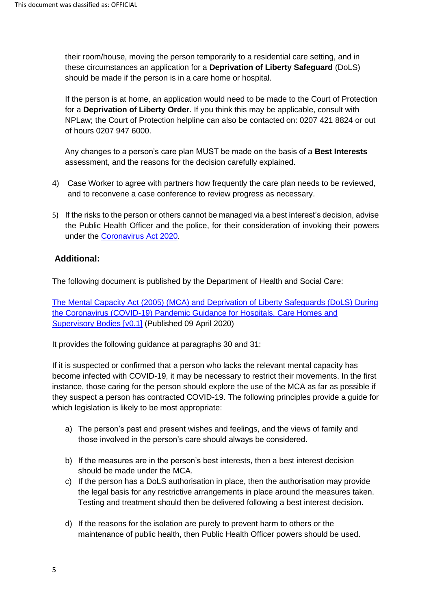their room/house, moving the person temporarily to a residential care setting, and in these circumstances an application for a **Deprivation of Liberty Safeguard** (DoLS) should be made if the person is in a care home or hospital.

If the person is at home, an application would need to be made to the Court of Protection for a **Deprivation of Liberty Order**. If you think this may be applicable, consult with NPLaw; the Court of Protection helpline can also be contacted on: 0207 421 8824 or out of hours 0207 947 6000.

Any changes to a person's care plan MUST be made on the basis of a **Best Interests**  assessment, and the reasons for the decision carefully explained.

- 4) Case Worker to agree with partners how frequently the care plan needs to be reviewed, and to reconvene a case conference to review progress as necessary.
- 5) If the risks to the person or others cannot be managed via a best interest's decision, advise the Public Health Officer and the police, for their consideration of invoking their powers under the [Coronavirus Act 2020.](https://www.legislation.gov.uk/ukpga/2020/7/schedule/21/part/2/enacted)

#### **Additional:**

The following document is published by the Department of Health and Social Care:

[The Mental Capacity Act \(2005\) \(MCA\) and Deprivation of Liberty Safeguards \(DoLS\) During](https://assets.publishing.service.gov.uk/government/uploads/system/uploads/attachment_data/file/878910/Emergency_MCA_DoLS_Guidance_COVID19.pdf)  [the Coronavirus \(COVID-19\) Pandemic Guidance for Hospitals, Care Homes and](https://assets.publishing.service.gov.uk/government/uploads/system/uploads/attachment_data/file/878910/Emergency_MCA_DoLS_Guidance_COVID19.pdf)  [Supervisory Bodies \[v0.1\]](https://assets.publishing.service.gov.uk/government/uploads/system/uploads/attachment_data/file/878910/Emergency_MCA_DoLS_Guidance_COVID19.pdf) (Published 09 April 2020)

It provides the following guidance at paragraphs 30 and 31:

If it is suspected or confirmed that a person who lacks the relevant mental capacity has become infected with COVID-19, it may be necessary to restrict their movements. In the first instance, those caring for the person should explore the use of the MCA as far as possible if they suspect a person has contracted COVID-19. The following principles provide a guide for which legislation is likely to be most appropriate:

- a) The person's past and present wishes and feelings, and the views of family and those involved in the person's care should always be considered.
- b) If the measures are in the person's best interests, then a best interest decision should be made under the MCA.
- c) If the person has a DoLS authorisation in place, then the authorisation may provide the legal basis for any restrictive arrangements in place around the measures taken. Testing and treatment should then be delivered following a best interest decision.
- d) If the reasons for the isolation are purely to prevent harm to others or the maintenance of public health, then Public Health Officer powers should be used.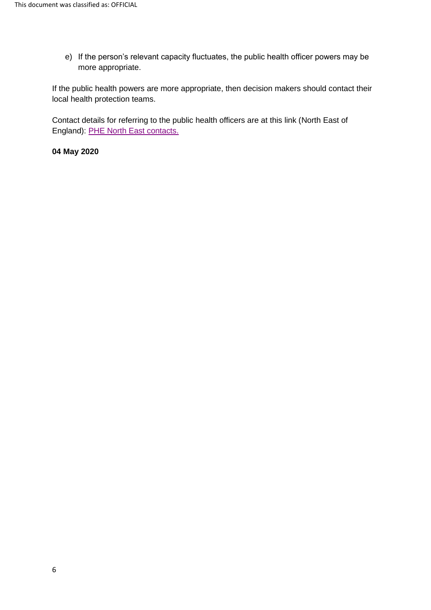e) If the person's relevant capacity fluctuates, the public health officer powers may be more appropriate.

If the public health powers are more appropriate, then decision makers should contact their local health protection teams.

Contact details for referring to the public health officers are at this link (North East of England): PHE North East contacts.

**04 May 2020**